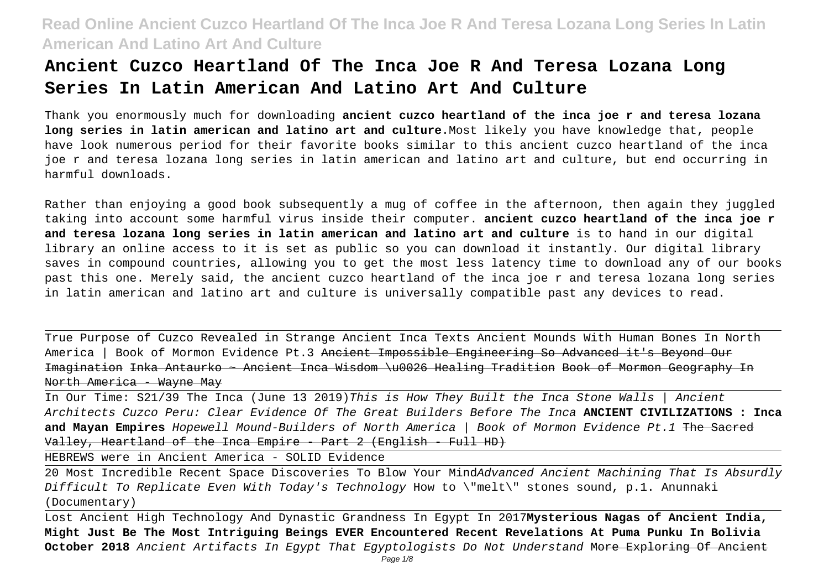# **Ancient Cuzco Heartland Of The Inca Joe R And Teresa Lozana Long Series In Latin American And Latino Art And Culture**

Thank you enormously much for downloading **ancient cuzco heartland of the inca joe r and teresa lozana long series in latin american and latino art and culture**.Most likely you have knowledge that, people have look numerous period for their favorite books similar to this ancient cuzco heartland of the inca joe r and teresa lozana long series in latin american and latino art and culture, but end occurring in harmful downloads.

Rather than enjoying a good book subsequently a mug of coffee in the afternoon, then again they juggled taking into account some harmful virus inside their computer. **ancient cuzco heartland of the inca joe r and teresa lozana long series in latin american and latino art and culture** is to hand in our digital library an online access to it is set as public so you can download it instantly. Our digital library saves in compound countries, allowing you to get the most less latency time to download any of our books past this one. Merely said, the ancient cuzco heartland of the inca joe r and teresa lozana long series in latin american and latino art and culture is universally compatible past any devices to read.

True Purpose of Cuzco Revealed in Strange Ancient Inca Texts Ancient Mounds With Human Bones In North America | Book of Mormon Evidence Pt.3 <del>Ancient Impossible Engineering So Advanced it's Bevond Our</del> Imagination Inka Antaurko ~ Ancient Inca Wisdom \u0026 Healing Tradition Book of Mormon Geography In North America - Wayne May

In Our Time: S21/39 The Inca (June 13 2019)This is How They Built the Inca Stone Walls | Ancient Architects Cuzco Peru: Clear Evidence Of The Great Builders Before The Inca **ANCIENT CIVILIZATIONS : Inca and Mayan Empires** Hopewell Mound-Builders of North America | Book of Mormon Evidence Pt.1 The Sacred Valley, Heartland of the Inca Empire - Part 2 (English - Full HD)

HEBREWS were in Ancient America - SOLID Evidence

20 Most Incredible Recent Space Discoveries To Blow Your MindAdvanced Ancient Machining That Is Absurdly Difficult To Replicate Even With Today's Technology How to \"melt\" stones sound, p.1. Anunnaki (Documentary)

Lost Ancient High Technology And Dynastic Grandness In Egypt In 2017**Mysterious Nagas of Ancient India, Might Just Be The Most Intriguing Beings EVER Encountered Recent Revelations At Puma Punku In Bolivia October 2018** Ancient Artifacts In Egypt That Egyptologists Do Not Understand More Exploring Of Ancient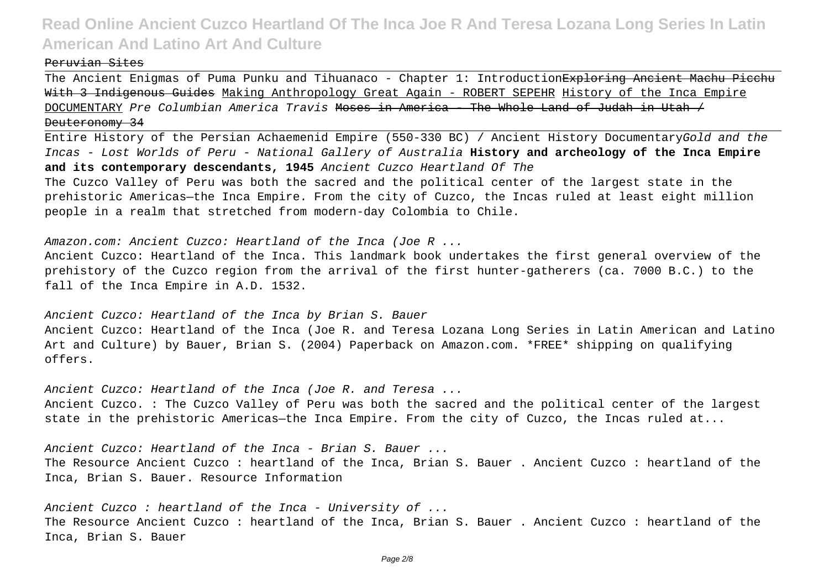#### Peruvian Sites

The Ancient Enigmas of Puma Punku and Tihuanaco - Chapter 1: Introduction<del>Exploring Ancient Machu Picchu</del> With 3 Indigenous Guides Making Anthropology Great Again - ROBERT SEPEHR History of the Inca Empire DOCUMENTARY Pre Columbian America Travis Moses in America - The Whole Land of Judah in Utah / Deuteronomy 34

Entire History of the Persian Achaemenid Empire (550-330 BC) / Ancient History DocumentaryGold and the Incas - Lost Worlds of Peru - National Gallery of Australia **History and archeology of the Inca Empire and its contemporary descendants, 1945** Ancient Cuzco Heartland Of The The Cuzco Valley of Peru was both the sacred and the political center of the largest state in the prehistoric Americas—the Inca Empire. From the city of Cuzco, the Incas ruled at least eight million people in a realm that stretched from modern-day Colombia to Chile.

Amazon.com: Ancient Cuzco: Heartland of the Inca (Joe R ...

Ancient Cuzco: Heartland of the Inca. This landmark book undertakes the first general overview of the prehistory of the Cuzco region from the arrival of the first hunter-gatherers (ca. 7000 B.C.) to the fall of the Inca Empire in A.D. 1532.

Ancient Cuzco: Heartland of the Inca by Brian S. Bauer

Ancient Cuzco: Heartland of the Inca (Joe R. and Teresa Lozana Long Series in Latin American and Latino Art and Culture) by Bauer, Brian S. (2004) Paperback on Amazon.com. \*FREE\* shipping on qualifying offers.

Ancient Cuzco: Heartland of the Inca (Joe R. and Teresa ... Ancient Cuzco. : The Cuzco Valley of Peru was both the sacred and the political center of the largest state in the prehistoric Americas—the Inca Empire. From the city of Cuzco, the Incas ruled at...

Ancient Cuzco: Heartland of the Inca - Brian S. Bauer ... The Resource Ancient Cuzco : heartland of the Inca, Brian S. Bauer . Ancient Cuzco : heartland of the Inca, Brian S. Bauer. Resource Information

Ancient Cuzco : heartland of the Inca - University of ... The Resource Ancient Cuzco : heartland of the Inca, Brian S. Bauer . Ancient Cuzco : heartland of the Inca, Brian S. Bauer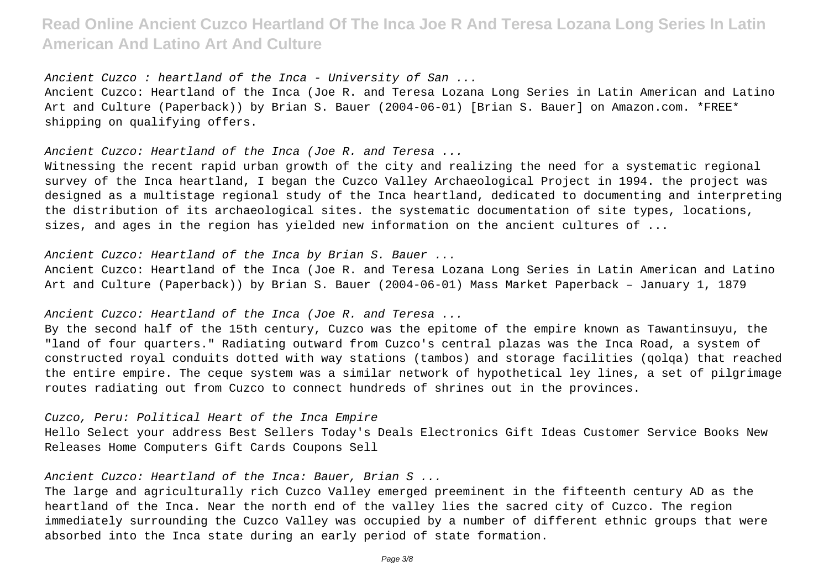Ancient Cuzco : heartland of the Inca - University of San ...

Ancient Cuzco: Heartland of the Inca (Joe R. and Teresa Lozana Long Series in Latin American and Latino Art and Culture (Paperback)) by Brian S. Bauer (2004-06-01) [Brian S. Bauer] on Amazon.com. \*FREE\* shipping on qualifying offers.

Ancient Cuzco: Heartland of the Inca (Joe R. and Teresa ...

Witnessing the recent rapid urban growth of the city and realizing the need for a systematic regional survey of the Inca heartland, I began the Cuzco Valley Archaeological Project in 1994. the project was designed as a multistage regional study of the Inca heartland, dedicated to documenting and interpreting the distribution of its archaeological sites. the systematic documentation of site types, locations, sizes, and ages in the region has yielded new information on the ancient cultures of ...

Ancient Cuzco: Heartland of the Inca by Brian S. Bauer ...

Ancient Cuzco: Heartland of the Inca (Joe R. and Teresa Lozana Long Series in Latin American and Latino Art and Culture (Paperback)) by Brian S. Bauer (2004-06-01) Mass Market Paperback – January 1, 1879

Ancient Cuzco: Heartland of the Inca (Joe R. and Teresa ...

By the second half of the 15th century, Cuzco was the epitome of the empire known as Tawantinsuyu, the "land of four quarters." Radiating outward from Cuzco's central plazas was the Inca Road, a system of constructed royal conduits dotted with way stations (tambos) and storage facilities (qolqa) that reached the entire empire. The ceque system was a similar network of hypothetical ley lines, a set of pilgrimage routes radiating out from Cuzco to connect hundreds of shrines out in the provinces.

Cuzco, Peru: Political Heart of the Inca Empire

Hello Select your address Best Sellers Today's Deals Electronics Gift Ideas Customer Service Books New Releases Home Computers Gift Cards Coupons Sell

Ancient Cuzco: Heartland of the Inca: Bauer, Brian S ...

The large and agriculturally rich Cuzco Valley emerged preeminent in the fifteenth century AD as the heartland of the Inca. Near the north end of the valley lies the sacred city of Cuzco. The region immediately surrounding the Cuzco Valley was occupied by a number of different ethnic groups that were absorbed into the Inca state during an early period of state formation.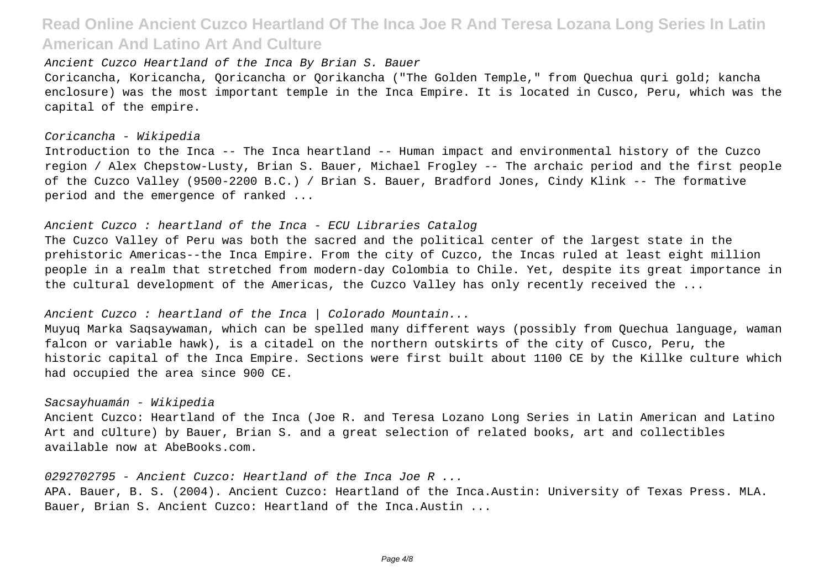Ancient Cuzco Heartland of the Inca By Brian S. Bauer

Coricancha, Koricancha, Qoricancha or Qorikancha ("The Golden Temple," from Quechua quri gold; kancha enclosure) was the most important temple in the Inca Empire. It is located in Cusco, Peru, which was the capital of the empire.

### Coricancha - Wikipedia

Introduction to the Inca -- The Inca heartland -- Human impact and environmental history of the Cuzco region / Alex Chepstow-Lusty, Brian S. Bauer, Michael Frogley -- The archaic period and the first people of the Cuzco Valley (9500-2200 B.C.) / Brian S. Bauer, Bradford Jones, Cindy Klink -- The formative period and the emergence of ranked ...

#### Ancient Cuzco : heartland of the Inca - ECU Libraries Catalog

The Cuzco Valley of Peru was both the sacred and the political center of the largest state in the prehistoric Americas--the Inca Empire. From the city of Cuzco, the Incas ruled at least eight million people in a realm that stretched from modern-day Colombia to Chile. Yet, despite its great importance in the cultural development of the Americas, the Cuzco Valley has only recently received the ...

### Ancient Cuzco : heartland of the Inca | Colorado Mountain...

Muyuq Marka Saqsaywaman, which can be spelled many different ways (possibly from Quechua language, waman falcon or variable hawk), is a citadel on the northern outskirts of the city of Cusco, Peru, the historic capital of the Inca Empire. Sections were first built about 1100 CE by the Killke culture which had occupied the area since 900 CE.

#### Sacsayhuamán - Wikipedia

Ancient Cuzco: Heartland of the Inca (Joe R. and Teresa Lozano Long Series in Latin American and Latino Art and cUlture) by Bauer, Brian S. and a great selection of related books, art and collectibles available now at AbeBooks.com.

0292702795 - Ancient Cuzco: Heartland of the Inca Joe R ... APA. Bauer, B. S. (2004). Ancient Cuzco: Heartland of the Inca.Austin: University of Texas Press. MLA. Bauer, Brian S. Ancient Cuzco: Heartland of the Inca.Austin ...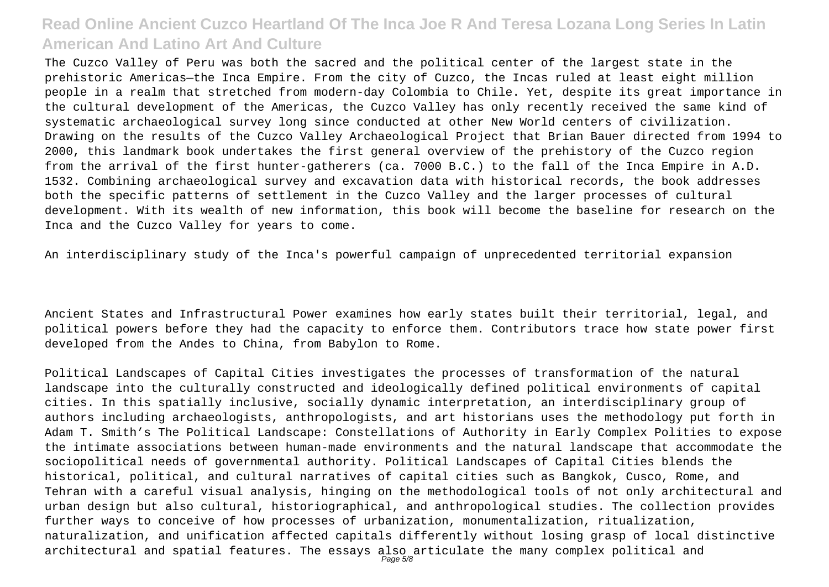The Cuzco Valley of Peru was both the sacred and the political center of the largest state in the prehistoric Americas—the Inca Empire. From the city of Cuzco, the Incas ruled at least eight million people in a realm that stretched from modern-day Colombia to Chile. Yet, despite its great importance in the cultural development of the Americas, the Cuzco Valley has only recently received the same kind of systematic archaeological survey long since conducted at other New World centers of civilization. Drawing on the results of the Cuzco Valley Archaeological Project that Brian Bauer directed from 1994 to 2000, this landmark book undertakes the first general overview of the prehistory of the Cuzco region from the arrival of the first hunter-gatherers (ca. 7000 B.C.) to the fall of the Inca Empire in A.D. 1532. Combining archaeological survey and excavation data with historical records, the book addresses both the specific patterns of settlement in the Cuzco Valley and the larger processes of cultural development. With its wealth of new information, this book will become the baseline for research on the Inca and the Cuzco Valley for years to come.

An interdisciplinary study of the Inca's powerful campaign of unprecedented territorial expansion

Ancient States and Infrastructural Power examines how early states built their territorial, legal, and political powers before they had the capacity to enforce them. Contributors trace how state power first developed from the Andes to China, from Babylon to Rome.

Political Landscapes of Capital Cities investigates the processes of transformation of the natural landscape into the culturally constructed and ideologically defined political environments of capital cities. In this spatially inclusive, socially dynamic interpretation, an interdisciplinary group of authors including archaeologists, anthropologists, and art historians uses the methodology put forth in Adam T. Smith's The Political Landscape: Constellations of Authority in Early Complex Polities to expose the intimate associations between human-made environments and the natural landscape that accommodate the sociopolitical needs of governmental authority. Political Landscapes of Capital Cities blends the historical, political, and cultural narratives of capital cities such as Bangkok, Cusco, Rome, and Tehran with a careful visual analysis, hinging on the methodological tools of not only architectural and urban design but also cultural, historiographical, and anthropological studies. The collection provides further ways to conceive of how processes of urbanization, monumentalization, ritualization, naturalization, and unification affected capitals differently without losing grasp of local distinctive architectural and spatial features. The essays also articulate the many complex political and<br>Page5/8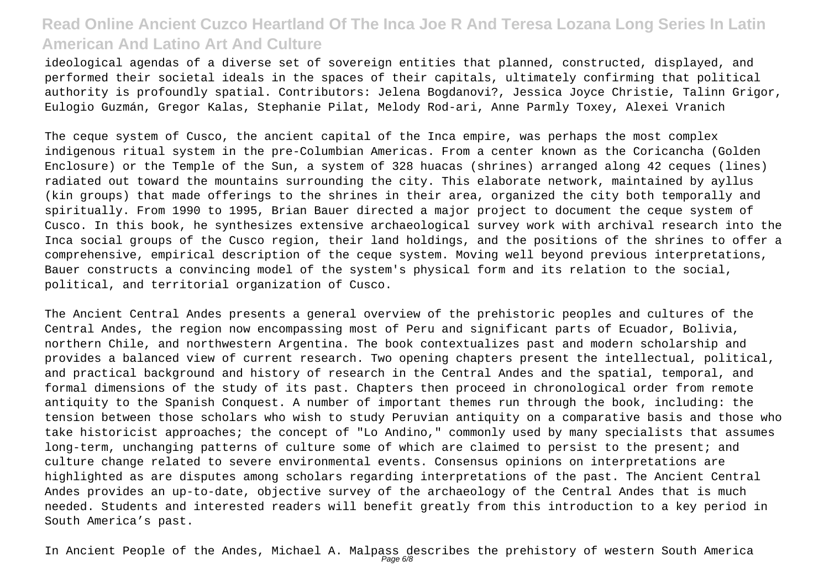ideological agendas of a diverse set of sovereign entities that planned, constructed, displayed, and performed their societal ideals in the spaces of their capitals, ultimately confirming that political authority is profoundly spatial. Contributors: Jelena Bogdanovi?, Jessica Joyce Christie, Talinn Grigor, Eulogio Guzmán, Gregor Kalas, Stephanie Pilat, Melody Rod-ari, Anne Parmly Toxey, Alexei Vranich

The ceque system of Cusco, the ancient capital of the Inca empire, was perhaps the most complex indigenous ritual system in the pre-Columbian Americas. From a center known as the Coricancha (Golden Enclosure) or the Temple of the Sun, a system of 328 huacas (shrines) arranged along 42 ceques (lines) radiated out toward the mountains surrounding the city. This elaborate network, maintained by ayllus (kin groups) that made offerings to the shrines in their area, organized the city both temporally and spiritually. From 1990 to 1995, Brian Bauer directed a major project to document the ceque system of Cusco. In this book, he synthesizes extensive archaeological survey work with archival research into the Inca social groups of the Cusco region, their land holdings, and the positions of the shrines to offer a comprehensive, empirical description of the ceque system. Moving well beyond previous interpretations, Bauer constructs a convincing model of the system's physical form and its relation to the social, political, and territorial organization of Cusco.

The Ancient Central Andes presents a general overview of the prehistoric peoples and cultures of the Central Andes, the region now encompassing most of Peru and significant parts of Ecuador, Bolivia, northern Chile, and northwestern Argentina. The book contextualizes past and modern scholarship and provides a balanced view of current research. Two opening chapters present the intellectual, political, and practical background and history of research in the Central Andes and the spatial, temporal, and formal dimensions of the study of its past. Chapters then proceed in chronological order from remote antiquity to the Spanish Conquest. A number of important themes run through the book, including: the tension between those scholars who wish to study Peruvian antiquity on a comparative basis and those who take historicist approaches; the concept of "Lo Andino," commonly used by many specialists that assumes long-term, unchanging patterns of culture some of which are claimed to persist to the present; and culture change related to severe environmental events. Consensus opinions on interpretations are highlighted as are disputes among scholars regarding interpretations of the past. The Ancient Central Andes provides an up-to-date, objective survey of the archaeology of the Central Andes that is much needed. Students and interested readers will benefit greatly from this introduction to a key period in South America's past.

In Ancient People of the Andes, Michael A. Malpass describes the prehistory of western South America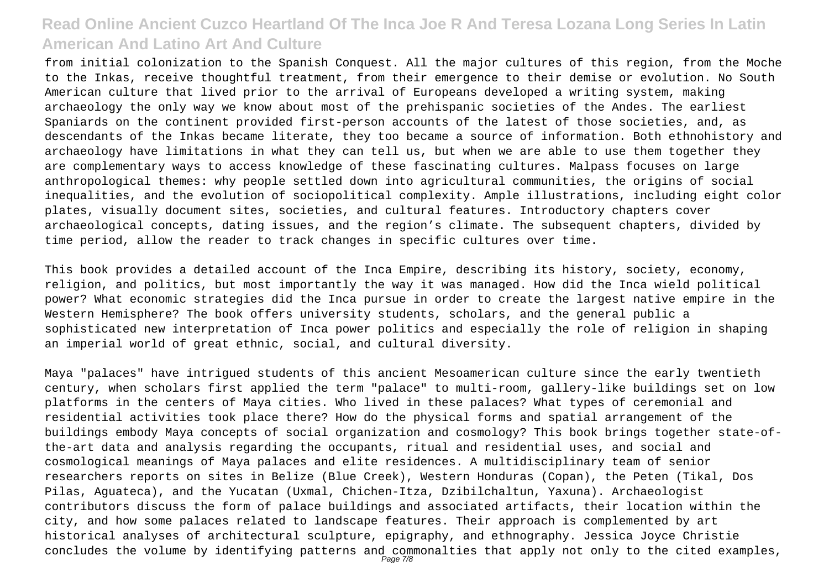from initial colonization to the Spanish Conquest. All the major cultures of this region, from the Moche to the Inkas, receive thoughtful treatment, from their emergence to their demise or evolution. No South American culture that lived prior to the arrival of Europeans developed a writing system, making archaeology the only way we know about most of the prehispanic societies of the Andes. The earliest Spaniards on the continent provided first-person accounts of the latest of those societies, and, as descendants of the Inkas became literate, they too became a source of information. Both ethnohistory and archaeology have limitations in what they can tell us, but when we are able to use them together they are complementary ways to access knowledge of these fascinating cultures. Malpass focuses on large anthropological themes: why people settled down into agricultural communities, the origins of social inequalities, and the evolution of sociopolitical complexity. Ample illustrations, including eight color plates, visually document sites, societies, and cultural features. Introductory chapters cover archaeological concepts, dating issues, and the region's climate. The subsequent chapters, divided by time period, allow the reader to track changes in specific cultures over time.

This book provides a detailed account of the Inca Empire, describing its history, society, economy, religion, and politics, but most importantly the way it was managed. How did the Inca wield political power? What economic strategies did the Inca pursue in order to create the largest native empire in the Western Hemisphere? The book offers university students, scholars, and the general public a sophisticated new interpretation of Inca power politics and especially the role of religion in shaping an imperial world of great ethnic, social, and cultural diversity.

Maya "palaces" have intrigued students of this ancient Mesoamerican culture since the early twentieth century, when scholars first applied the term "palace" to multi-room, gallery-like buildings set on low platforms in the centers of Maya cities. Who lived in these palaces? What types of ceremonial and residential activities took place there? How do the physical forms and spatial arrangement of the buildings embody Maya concepts of social organization and cosmology? This book brings together state-ofthe-art data and analysis regarding the occupants, ritual and residential uses, and social and cosmological meanings of Maya palaces and elite residences. A multidisciplinary team of senior researchers reports on sites in Belize (Blue Creek), Western Honduras (Copan), the Peten (Tikal, Dos Pilas, Aguateca), and the Yucatan (Uxmal, Chichen-Itza, Dzibilchaltun, Yaxuna). Archaeologist contributors discuss the form of palace buildings and associated artifacts, their location within the city, and how some palaces related to landscape features. Their approach is complemented by art historical analyses of architectural sculpture, epigraphy, and ethnography. Jessica Joyce Christie concludes the volume by identifying patterns and commonalties that apply not only to the cited examples,<br>Page 7/8